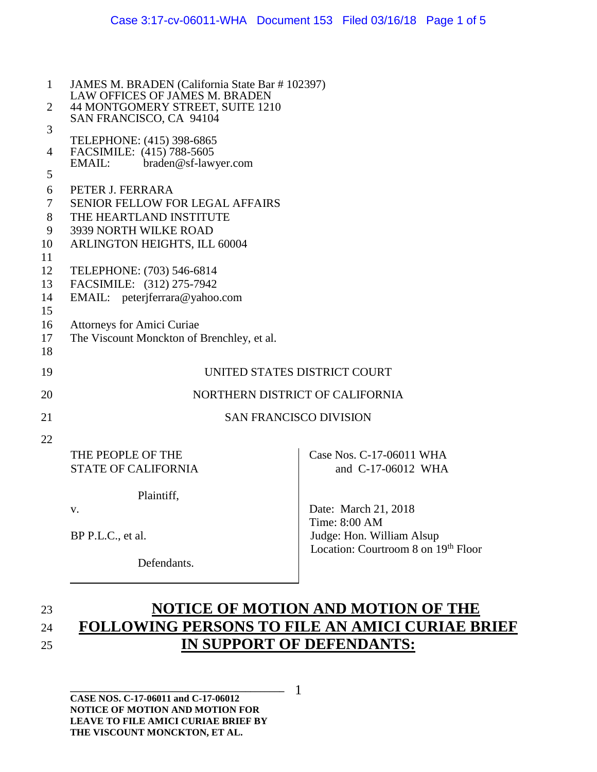| $\mathbf{1}$   | JAMES M. BRADEN (California State Bar # 102397)<br>LAW OFFICES OF JAMES M. BRADEN<br>44 MONTGOMERY STREET, SUITE 1210 |                                     |  |
|----------------|-----------------------------------------------------------------------------------------------------------------------|-------------------------------------|--|
| 2              |                                                                                                                       |                                     |  |
|                | SAN FRANCISCO, CA 94104                                                                                               |                                     |  |
| 3              | TELEPHONE: (415) 398-6865                                                                                             |                                     |  |
| $\overline{4}$ | FACSIMILE: (415) 788-5605                                                                                             |                                     |  |
| 5              | EMAIL:<br>braden@sf-lawyer.com                                                                                        |                                     |  |
| 6              | PETER J. FERRARA                                                                                                      |                                     |  |
| $\tau$         | <b>SENIOR FELLOW FOR LEGAL AFFAIRS</b>                                                                                |                                     |  |
| 8              | THE HEARTLAND INSTITUTE                                                                                               |                                     |  |
| 9              | 3939 NORTH WILKE ROAD                                                                                                 |                                     |  |
| 10             | ARLINGTON HEIGHTS, ILL 60004                                                                                          |                                     |  |
| 11             |                                                                                                                       |                                     |  |
| 12             | TELEPHONE: (703) 546-6814                                                                                             |                                     |  |
| 13             | FACSIMILE: (312) 275-7942                                                                                             |                                     |  |
| 14             | EMAIL: peterjferrara@yahoo.com                                                                                        |                                     |  |
| 15<br>16       | Attorneys for Amici Curiae                                                                                            |                                     |  |
| 17             | The Viscount Monckton of Brenchley, et al.                                                                            |                                     |  |
| 18             |                                                                                                                       |                                     |  |
| 19             | UNITED STATES DISTRICT COURT                                                                                          |                                     |  |
|                |                                                                                                                       |                                     |  |
| 20             | NORTHERN DISTRICT OF CALIFORNIA                                                                                       |                                     |  |
| 21             | <b>SAN FRANCISCO DIVISION</b>                                                                                         |                                     |  |
| 22             |                                                                                                                       |                                     |  |
|                | THE PEOPLE OF THE                                                                                                     | Case Nos. C-17-06011 WHA            |  |
|                | <b>STATE OF CALIFORNIA</b>                                                                                            | and C-17-06012 WHA                  |  |
|                | Plaintiff,                                                                                                            |                                     |  |
|                | V.                                                                                                                    | Date: March 21, 2018                |  |
|                |                                                                                                                       | Time: 8:00 AM                       |  |
|                | BP P.L.C., et al.                                                                                                     | Judge: Hon. William Alsup           |  |
|                |                                                                                                                       | Location: Courtroom 8 on 19th Floor |  |
|                | Defendants.                                                                                                           |                                     |  |

## 23 **NOTICE OF MOTION AND MOTION OF THE**  24 **FOLLOWING PERSONS TO FILE AN AMICI CURIAE BRIEF**  25 **IN SUPPORT OF DEFENDANTS:**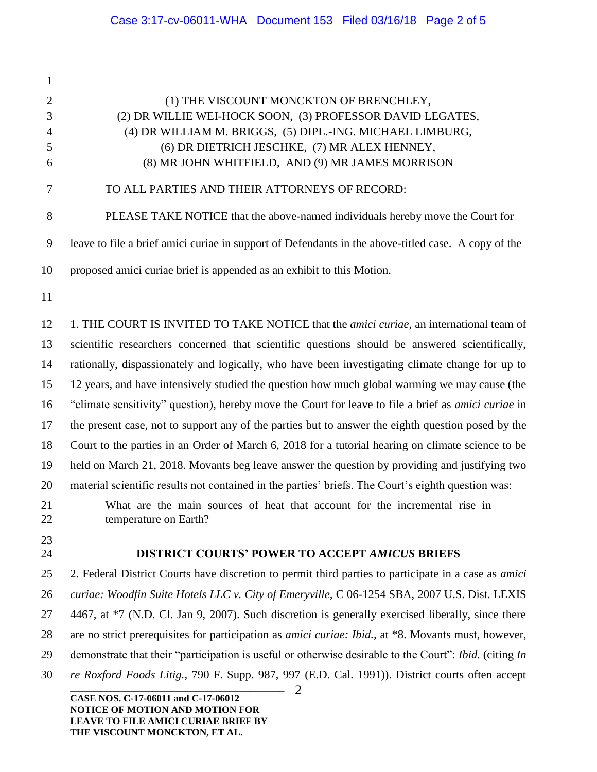**\_\_\_\_\_\_\_\_\_\_\_\_\_\_\_\_\_\_\_\_\_\_\_\_\_\_\_\_\_\_\_\_\_\_\_\_\_\_\_\_\_\_\_\_** 2 (1) THE VISCOUNT MONCKTON OF BRENCHLEY, (2) DR WILLIE WEI-HOCK SOON, (3) PROFESSOR DAVID LEGATES, (4) DR WILLIAM M. BRIGGS, (5) DIPL.-ING. MICHAEL LIMBURG, (6) DR DIETRICH JESCHKE, (7) MR ALEX HENNEY, (8) MR JOHN WHITFIELD, AND (9) MR JAMES MORRISON TO ALL PARTIES AND THEIR ATTORNEYS OF RECORD: PLEASE TAKE NOTICE that the above-named individuals hereby move the Court for leave to file a brief amici curiae in support of Defendants in the above-titled case. A copy of the proposed amici curiae brief is appended as an exhibit to this Motion. 1. THE COURT IS INVITED TO TAKE NOTICE that the *amici curiae*, an international team of scientific researchers concerned that scientific questions should be answered scientifically, rationally, dispassionately and logically, who have been investigating climate change for up to 12 years, and have intensively studied the question how much global warming we may cause (the "climate sensitivity" question), hereby move the Court for leave to file a brief as *amici curiae* in the present case, not to support any of the parties but to answer the eighth question posed by the Court to the parties in an Order of March 6, 2018 for a tutorial hearing on climate science to be held on March 21, 2018. Movants beg leave answer the question by providing and justifying two material scientific results not contained in the parties' briefs. The Court's eighth question was: What are the main sources of heat that account for the incremental rise in temperature on Earth? **DISTRICT COURTS' POWER TO ACCEPT** *AMICUS* **BRIEFS** 2. Federal District Courts have discretion to permit third parties to participate in a case as *amici curiae: Woodfin Suite Hotels LLC v. City of Emeryville,* C 06-1254 SBA, 2007 U.S. Dist. LEXIS 4467, at \*7 (N.D. Cl. Jan 9, 2007). Such discretion is generally exercised liberally, since there are no strict prerequisites for participation as *amici curiae: Ibid.,* at \*8. Movants must, however, demonstrate that their "participation is useful or otherwise desirable to the Court": *Ibid.* (citing *In re Roxford Foods Litig.,* 790 F. Supp. 987, 997 (E.D. Cal. 1991)). District courts often accept

**CASE NOS. C-17-06011 and C-17-06012 NOTICE OF MOTION AND MOTION FOR LEAVE TO FILE AMICI CURIAE BRIEF BY THE VISCOUNT MONCKTON, ET AL.**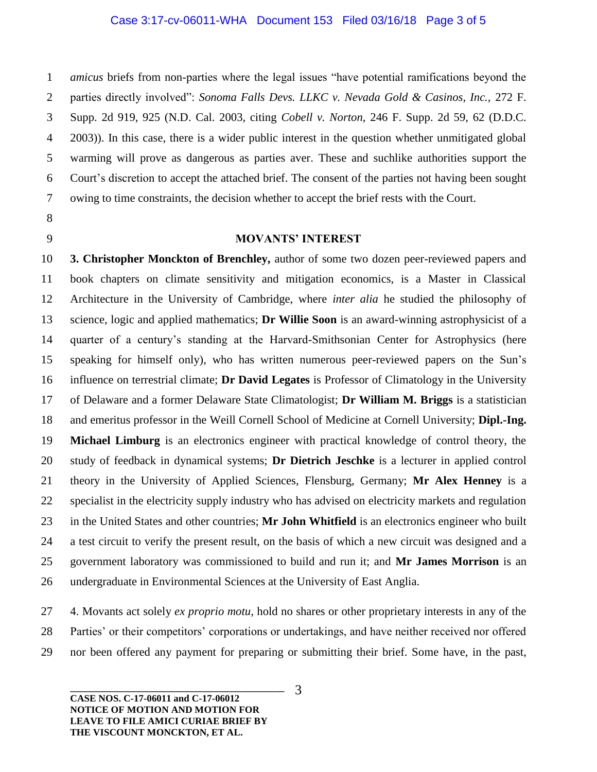*amicus* briefs from non-parties where the legal issues "have potential ramifications beyond the parties directly involved": *Sonoma Falls Devs. LLKC v. Nevada Gold & Casinos, Inc.,* 272 F. Supp. 2d 919, 925 (N.D. Cal. 2003, citing *Cobell v. Norton,* 246 F. Supp. 2d 59, 62 (D.D.C. 2003)). In this case, there is a wider public interest in the question whether unmitigated global warming will prove as dangerous as parties aver. These and suchlike authorities support the Court's discretion to accept the attached brief. The consent of the parties not having been sought owing to time constraints, the decision whether to accept the brief rests with the Court.

## **MOVANTS' INTEREST**

 **3. Christopher Monckton of Brenchley,** author of some two dozen peer-reviewed papers and book chapters on climate sensitivity and mitigation economics, is a Master in Classical Architecture in the University of Cambridge, where *inter alia* he studied the philosophy of science, logic and applied mathematics; **Dr Willie Soon** is an award-winning astrophysicist of a quarter of a century's standing at the Harvard-Smithsonian Center for Astrophysics (here speaking for himself only), who has written numerous peer-reviewed papers on the Sun's influence on terrestrial climate; **Dr David Legates** is Professor of Climatology in the University of Delaware and a former Delaware State Climatologist; **Dr William M. Briggs** is a statistician and emeritus professor in the Weill Cornell School of Medicine at Cornell University; **Dipl.-Ing. Michael Limburg** is an electronics engineer with practical knowledge of control theory, the study of feedback in dynamical systems; **Dr Dietrich Jeschke** is a lecturer in applied control theory in the University of Applied Sciences, Flensburg, Germany; **Mr Alex Henney** is a specialist in the electricity supply industry who has advised on electricity markets and regulation in the United States and other countries; **Mr John Whitfield** is an electronics engineer who built a test circuit to verify the present result, on the basis of which a new circuit was designed and a government laboratory was commissioned to build and run it; and **Mr James Morrison** is an undergraduate in Environmental Sciences at the University of East Anglia.

 4. Movants act solely *ex proprio motu*, hold no shares or other proprietary interests in any of the Parties' or their competitors' corporations or undertakings, and have neither received nor offered nor been offered any payment for preparing or submitting their brief. Some have, in the past,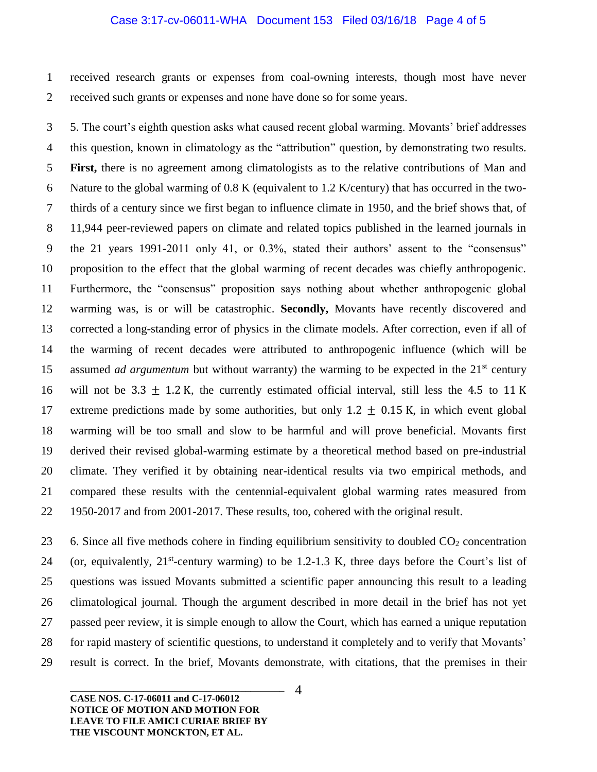## Case 3:17-cv-06011-WHA Document 153 Filed 03/16/18 Page 4 of 5

 received research grants or expenses from coal-owning interests, though most have never received such grants or expenses and none have done so for some years.

 5. The court's eighth question asks what caused recent global warming. Movants' brief addresses this question, known in climatology as the "attribution" question, by demonstrating two results. **First,** there is no agreement among climatologists as to the relative contributions of Man and Nature to the global warming of 0.8 K (equivalent to 1.2 K/century) that has occurred in the two- thirds of a century since we first began to influence climate in 1950, and the brief shows that, of 11,944 peer-reviewed papers on climate and related topics published in the learned journals in the 21 years 1991-2011 only 41, or 0.3%, stated their authors' assent to the "consensus" proposition to the effect that the global warming of recent decades was chiefly anthropogenic. Furthermore, the "consensus" proposition says nothing about whether anthropogenic global warming was, is or will be catastrophic. **Secondly,** Movants have recently discovered and corrected a long-standing error of physics in the climate models. After correction, even if all of the warming of recent decades were attributed to anthropogenic influence (which will be 15 assumed *ad argumentum* but without warranty) the warming to be expected in the 21<sup>st</sup> century 16 will not be 3.3  $\pm$  1.2 K, the currently estimated official interval, still less the 4.5 to 11 K 17 extreme predictions made by some authorities, but only 1.2  $\pm$  0.15 K, in which event global warming will be too small and slow to be harmful and will prove beneficial. Movants first derived their revised global-warming estimate by a theoretical method based on pre-industrial climate. They verified it by obtaining near-identical results via two empirical methods, and compared these results with the centennial-equivalent global warming rates measured from 1950-2017 and from 2001-2017. These results, too, cohered with the original result.

23 6. Since all five methods cohere in finding equilibrium sensitivity to doubled  $CO<sub>2</sub>$  concentration 24 (or, equivalently,  $21^{st}$ -century warming) to be 1.2-1.3 K, three days before the Court's list of questions was issued Movants submitted a scientific paper announcing this result to a leading climatological journal*.* Though the argument described in more detail in the brief has not yet passed peer review, it is simple enough to allow the Court, which has earned a unique reputation for rapid mastery of scientific questions, to understand it completely and to verify that Movants' result is correct. In the brief, Movants demonstrate, with citations, that the premises in their